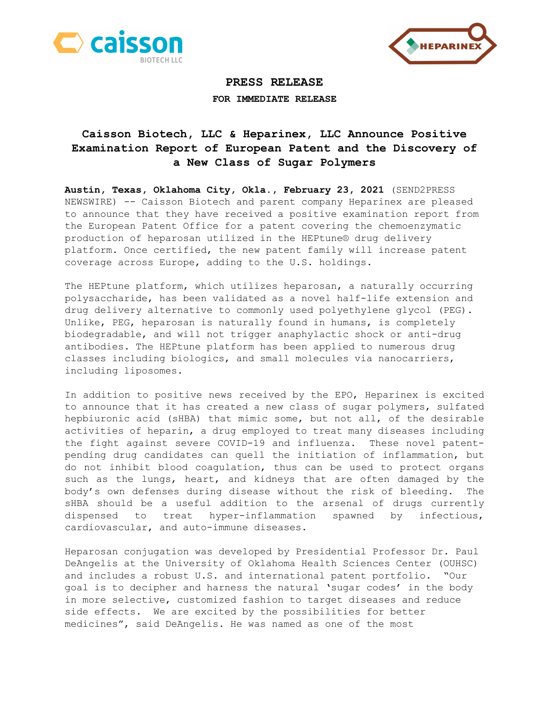



## **PRESS RELEASE FOR IMMEDIATE RELEASE**

## **Caisson Biotech, LLC & Heparinex, LLC Announce Positive Examination Report of European Patent and the Discovery of a New Class of Sugar Polymers**

**Austin, Texas, Oklahoma City, Okla., February 23, 2021** (SEND2PRESS NEWSWIRE) -- Caisson Biotech and parent company Heparinex are pleased to announce that they have received a positive examination report from the European Patent Office for a patent covering the chemoenzymatic production of heparosan utilized in the HEPtune® drug delivery platform. Once certified, the new patent family will increase patent coverage across Europe, adding to the U.S. holdings.

The HEPtune platform, which utilizes heparosan, a naturally occurring polysaccharide, has been validated as a novel half-life extension and drug delivery alternative to commonly used polyethylene glycol (PEG). Unlike, PEG, heparosan is naturally found in humans, is completely biodegradable, and will not trigger anaphylactic shock or anti-drug antibodies. The HEPtune platform has been applied to numerous drug classes including biologics, and small molecules via nanocarriers, including liposomes.

In addition to positive news received by the EPO, Heparinex is excited to announce that it has created a new class of sugar polymers, sulfated hepbiuronic acid (sHBA) that mimic some, but not all, of the desirable activities of heparin, a drug employed to treat many diseases including the fight against severe COVID-19 and influenza. These novel patentpending drug candidates can quell the initiation of inflammation, but do not inhibit blood coagulation, thus can be used to protect organs such as the lungs, heart, and kidneys that are often damaged by the body's own defenses during disease without the risk of bleeding. The sHBA should be a useful addition to the arsenal of drugs currently dispensed to treat hyper-inflammation spawned by infectious, cardiovascular, and auto-immune diseases.

Heparosan conjugation was developed by Presidential Professor Dr. Paul DeAngelis at the University of Oklahoma Health Sciences Center (OUHSC) and includes a robust U.S. and international patent portfolio. "Our goal is to decipher and harness the natural 'sugar codes' in the body in more selective, customized fashion to target diseases and reduce side effects. We are excited by the possibilities for better medicines", said DeAngelis. He was named as one of the most